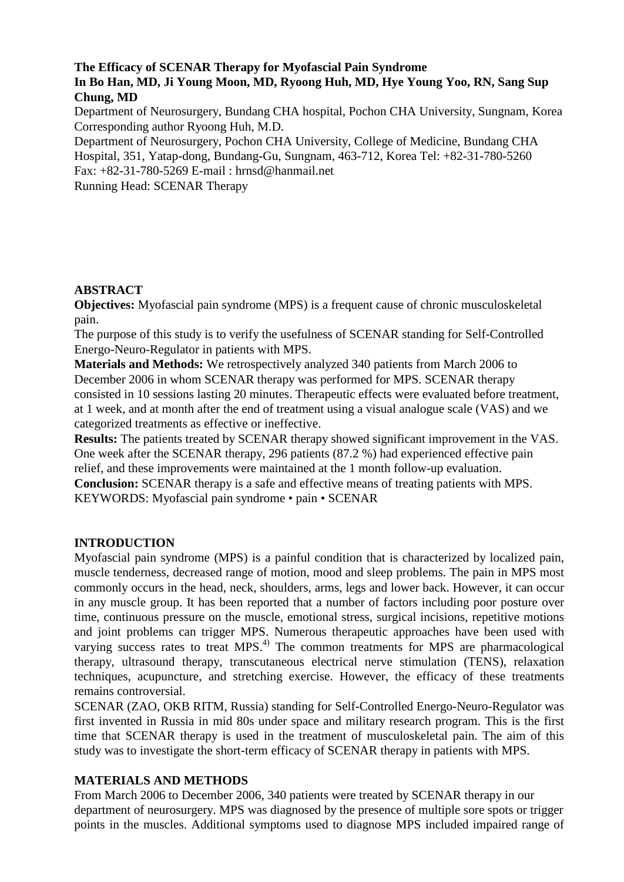# **The Efficacy of SCENAR Therapy for Myofascial Pain Syndrome In Bo Han, MD, Ji Young Moon, MD, Ryoong Huh, MD, Hye Young Yoo, RN, Sang Sup Chung, MD**

Department of Neurosurgery, Bundang CHA hospital, Pochon CHA University, Sungnam, Korea Corresponding author Ryoong Huh, M.D.

Department of Neurosurgery, Pochon CHA University, College of Medicine, Bundang CHA Hospital, 351, Yatap-dong, Bundang-Gu, Sungnam, 463-712, Korea Tel: +82-31-780-5260 Fax: +82-31-780-5269 E-mail : hrnsd@hanmail.net

Running Head: SCENAR Therapy

# **ABSTRACT**

**Objectives:** Myofascial pain syndrome (MPS) is a frequent cause of chronic musculoskeletal pain.

The purpose of this study is to verify the usefulness of SCENAR standing for Self-Controlled Energo-Neuro-Regulator in patients with MPS.

**Materials and Methods:** We retrospectively analyzed 340 patients from March 2006 to December 2006 in whom SCENAR therapy was performed for MPS. SCENAR therapy consisted in 10 sessions lasting 20 minutes. Therapeutic effects were evaluated before treatment, at 1 week, and at month after the end of treatment using a visual analogue scale (VAS) and we categorized treatments as effective or ineffective.

**Results:** The patients treated by SCENAR therapy showed significant improvement in the VAS. One week after the SCENAR therapy, 296 patients (87.2 %) had experienced effective pain relief, and these improvements were maintained at the 1 month follow-up evaluation. **Conclusion:** SCENAR therapy is a safe and effective means of treating patients with MPS.

KEYWORDS: Myofascial pain syndrome • pain • SCENAR

### **INTRODUCTION**

Myofascial pain syndrome (MPS) is a painful condition that is characterized by localized pain, muscle tenderness, decreased range of motion, mood and sleep problems. The pain in MPS most commonly occurs in the head, neck, shoulders, arms, legs and lower back. However, it can occur in any muscle group. It has been reported that a number of factors including poor posture over time, continuous pressure on the muscle, emotional stress, surgical incisions, repetitive motions and joint problems can trigger MPS. Numerous therapeutic approaches have been used with varying success rates to treat MPS.<sup>4)</sup> The common treatments for MPS are pharmacological therapy, ultrasound therapy, transcutaneous electrical nerve stimulation (TENS), relaxation techniques, acupuncture, and stretching exercise. However, the efficacy of these treatments remains controversial.

SCENAR (ZAO, OKB RITM, Russia) standing for Self-Controlled Energo-Neuro-Regulator was first invented in Russia in mid 80s under space and military research program. This is the first time that SCENAR therapy is used in the treatment of musculoskeletal pain. The aim of this study was to investigate the short-term efficacy of SCENAR therapy in patients with MPS.

### **MATERIALS AND METHODS**

From March 2006 to December 2006, 340 patients were treated by SCENAR therapy in our department of neurosurgery. MPS was diagnosed by the presence of multiple sore spots or trigger points in the muscles. Additional symptoms used to diagnose MPS included impaired range of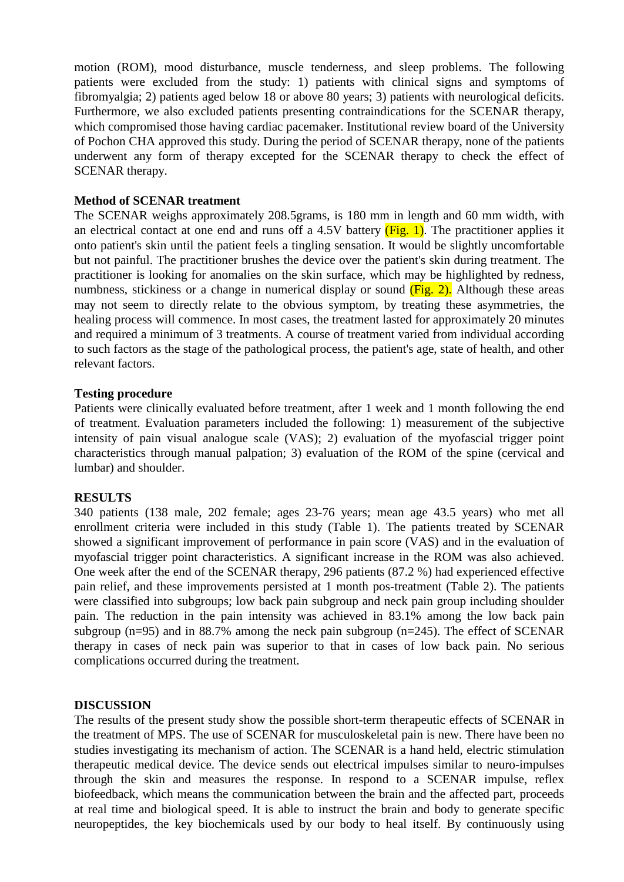motion (ROM), mood disturbance, muscle tenderness, and sleep problems. The following patients were excluded from the study: 1) patients with clinical signs and symptoms of fibromyalgia; 2) patients aged below 18 or above 80 years; 3) patients with neurological deficits. Furthermore, we also excluded patients presenting contraindications for the SCENAR therapy, which compromised those having cardiac pacemaker. Institutional review board of the University of Pochon CHA approved this study. During the period of SCENAR therapy, none of the patients underwent any form of therapy excepted for the SCENAR therapy to check the effect of SCENAR therapy.

#### **Method of SCENAR treatment**

The SCENAR weighs approximately 208.5grams, is 180 mm in length and 60 mm width, with an electrical contact at one end and runs off a 4.5V battery  $(Fig. 1)$ . The practitioner applies it onto patient's skin until the patient feels a tingling sensation. It would be slightly uncomfortable but not painful. The practitioner brushes the device over the patient's skin during treatment. The practitioner is looking for anomalies on the skin surface, which may be highlighted by redness, numbness, stickiness or a change in numerical display or sound (Fig. 2). Although these areas may not seem to directly relate to the obvious symptom, by treating these asymmetries, the healing process will commence. In most cases, the treatment lasted for approximately 20 minutes and required a minimum of 3 treatments. A course of treatment varied from individual according to such factors as the stage of the pathological process, the patient's age, state of health, and other relevant factors.

#### **Testing procedure**

Patients were clinically evaluated before treatment, after 1 week and 1 month following the end of treatment. Evaluation parameters included the following: 1) measurement of the subjective intensity of pain visual analogue scale (VAS); 2) evaluation of the myofascial trigger point characteristics through manual palpation; 3) evaluation of the ROM of the spine (cervical and lumbar) and shoulder.

### **RESULTS**

340 patients (138 male, 202 female; ages 23-76 years; mean age 43.5 years) who met all enrollment criteria were included in this study (Table 1). The patients treated by SCENAR showed a significant improvement of performance in pain score (VAS) and in the evaluation of myofascial trigger point characteristics. A significant increase in the ROM was also achieved. One week after the end of the SCENAR therapy, 296 patients (87.2 %) had experienced effective pain relief, and these improvements persisted at 1 month pos-treatment (Table 2). The patients were classified into subgroups; low back pain subgroup and neck pain group including shoulder pain. The reduction in the pain intensity was achieved in 83.1% among the low back pain subgroup ( $n=95$ ) and in 88.7% among the neck pain subgroup ( $n=245$ ). The effect of SCENAR therapy in cases of neck pain was superior to that in cases of low back pain. No serious complications occurred during the treatment.

### **DISCUSSION**

The results of the present study show the possible short-term therapeutic effects of SCENAR in the treatment of MPS. The use of SCENAR for musculoskeletal pain is new. There have been no studies investigating its mechanism of action. The SCENAR is a hand held, electric stimulation therapeutic medical device. The device sends out electrical impulses similar to neuro-impulses through the skin and measures the response. In respond to a SCENAR impulse, reflex biofeedback, which means the communication between the brain and the affected part, proceeds at real time and biological speed. It is able to instruct the brain and body to generate specific neuropeptides, the key biochemicals used by our body to heal itself. By continuously using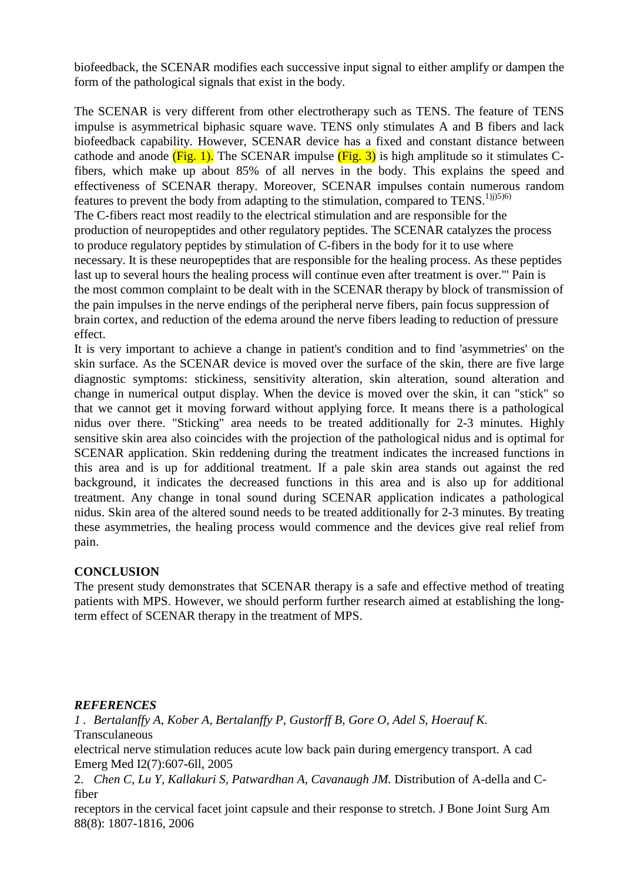biofeedback, the SCENAR modifies each successive input signal to either amplify or dampen the form of the pathological signals that exist in the body.

The SCENAR is very different from other electrotherapy such as TENS. The feature of TENS impulse is asymmetrical biphasic square wave. TENS only stimulates A and B fibers and lack biofeedback capability. However, SCENAR device has a fixed and constant distance between cathode and anode  $(Fig. 1)$ . The SCENAR impulse  $(Fig. 3)$  is high amplitude so it stimulates Cfibers, which make up about 85% of all nerves in the body. This explains the speed and effectiveness of SCENAR therapy. Moreover, SCENAR impulses contain numerous random features to prevent the body from adapting to the stimulation, compared to  $TENS$ .<sup>1)j)5)6)</sup> The C-fibers react most readily to the electrical stimulation and are responsible for the production of neuropeptides and other regulatory peptides. The SCENAR catalyzes the process to produce regulatory peptides by stimulation of C-fibers in the body for it to use where necessary. It is these neuropeptides that are responsible for the healing process. As these peptides last up to several hours the healing process will continue even after treatment is over."' Pain is the most common complaint to be dealt with in the SCENAR therapy by block of transmission of the pain impulses in the nerve endings of the peripheral nerve fibers, pain focus suppression of brain cortex, and reduction of the edema around the nerve fibers leading to reduction of pressure effect.

It is very important to achieve a change in patient's condition and to find 'asymmetries' on the skin surface. As the SCENAR device is moved over the surface of the skin, there are five large diagnostic symptoms: stickiness, sensitivity alteration, skin alteration, sound alteration and change in numerical output display. When the device is moved over the skin, it can "stick" so that we cannot get it moving forward without applying force. It means there is a pathological nidus over there. "Sticking" area needs to be treated additionally for 2-3 minutes. Highly sensitive skin area also coincides with the projection of the pathological nidus and is optimal for SCENAR application. Skin reddening during the treatment indicates the increased functions in this area and is up for additional treatment. If a pale skin area stands out against the red background, it indicates the decreased functions in this area and is also up for additional treatment. Any change in tonal sound during SCENAR application indicates a pathological nidus. Skin area of the altered sound needs to be treated additionally for 2-3 minutes. By treating these asymmetries, the healing process would commence and the devices give real relief from pain.

# **CONCLUSION**

The present study demonstrates that SCENAR therapy is a safe and effective method of treating patients with MPS. However, we should perform further research aimed at establishing the longterm effect of SCENAR therapy in the treatment of MPS.

# *REFERENCES*

*1 . Bertalanffy A, Kober A, Bertalanffy P, Gustorff B, Gore O, Adel S, Hoerauf K.*  Transculaneous

electrical nerve stimulation reduces acute low back pain during emergency transport. A cad Emerg Med I2(7):607-6ll, 2005

2. *Chen C, Lu Y, Kallakuri S, Patwardhan A, Cavanaugh JM.* Distribution of A-della and Cfiber

receptors in the cervical facet joint capsule and their response to stretch. J Bone Joint Surg Am 88(8): 1807-1816, 2006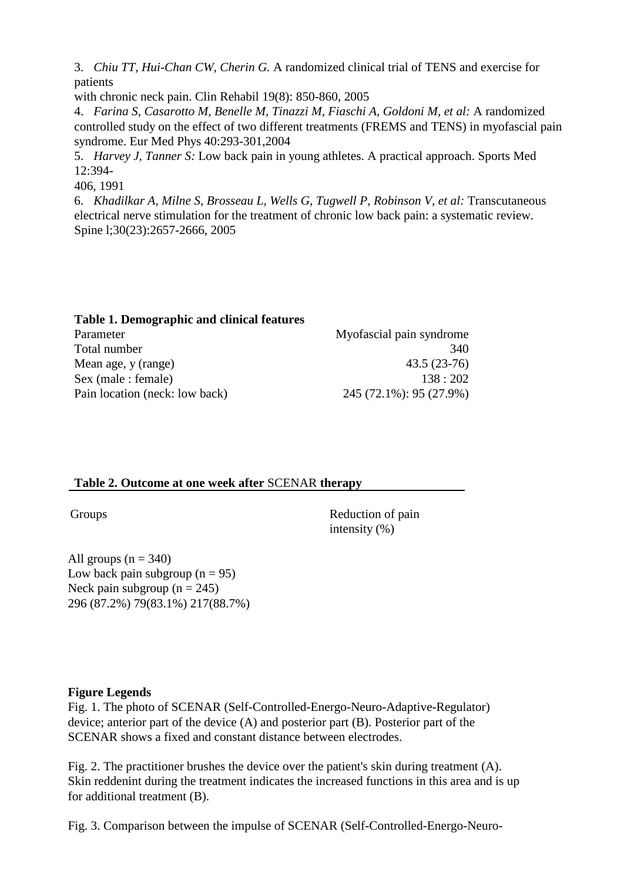3. *Chiu TT, Hui-Chan CW, Cherin G.* A randomized clinical trial of TENS and exercise for patients

with chronic neck pain. Clin Rehabil 19(8): 850-860, 2005

4. *Farina S, Casarotto M, Benelle M, Tinazzi M, Fiaschi A, Goldoni M, et al:* A randomized controlled study on the effect of two different treatments (FREMS and TENS) in myofascial pain syndrome. Eur Med Phys 40:293-301,2004

5. *Harvey J, Tanner S:* Low back pain in young athletes. A practical approach. Sports Med 12:394-

406, 1991

6. *Khadilkar A, Milne S, Brosseau L, Wells G, Tugwell P, Robinson V, et al:* Transcutaneous electrical nerve stimulation for the treatment of chronic low back pain: a systematic review. Spine l;30(23):2657-2666, 2005

| Table 1. Demographic and clinical features |                          |
|--------------------------------------------|--------------------------|
| Parameter                                  | Myofascial pain syndrome |
| Total number                               | 340                      |
| Mean age, y (range)                        | $43.5(23-76)$            |
| Sex (male : female)                        | 138:202                  |
| Pain location (neck: low back)             | 245 (72.1%): 95 (27.9%)  |

### **Table 2. Outcome at one week after** SCENAR **therapy**

Groups Reduction of pain intensity (%)

All groups  $(n = 340)$ Low back pain subgroup  $(n = 95)$ Neck pain subgroup  $(n = 245)$ 296 (87.2%) 79(83.1%) 217(88.7%)

# **Figure Legends**

Fig. 1. The photo of SCENAR (Self-Controlled-Energo-Neuro-Adaptive-Regulator) device; anterior part of the device (A) and posterior part (B). Posterior part of the SCENAR shows a fixed and constant distance between electrodes.

Fig. 2. The practitioner brushes the device over the patient's skin during treatment (A). Skin reddenint during the treatment indicates the increased functions in this area and is up for additional treatment (B).

Fig. 3. Comparison between the impulse of SCENAR (Self-Controlled-Energo-Neuro-